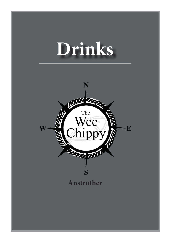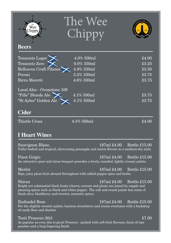| The<br>Wee<br>hippy                                                                                                                                                                                                                                  | The Wee<br>Chippy                                        |                                                                                                                                                  |
|------------------------------------------------------------------------------------------------------------------------------------------------------------------------------------------------------------------------------------------------------|----------------------------------------------------------|--------------------------------------------------------------------------------------------------------------------------------------------------|
| <b>Beers</b>                                                                                                                                                                                                                                         |                                                          |                                                                                                                                                  |
| Tennents Lager<br>Tennents Zero<br>Belhaven Craft Pilsner<br>Peroni                                                                                                                                                                                  | 4.0% 500ml<br>$0.0\%$ 330ml<br>4.8% 330ml<br>5.2% 330ml  | £4.00<br>£3.25<br>£3.50<br>£3.75                                                                                                                 |
| Birra Moretti                                                                                                                                                                                                                                        | 4.6% 330ml                                               | £3.75                                                                                                                                            |
| Local Ales - Ovenstone 109<br>"Fifie" Blonde Ale<br>"St Ayles" Golden Ale<br><b>Cider</b>                                                                                                                                                            | $\frac{1}{4.1\%}\,\frac{500 \text{ml}}{2}$<br>4.1% 500ml | £3.75<br>£3.75                                                                                                                                   |
| <b>Thistle Cross</b>                                                                                                                                                                                                                                 | 4.5% 568ml                                               | £4.00                                                                                                                                            |
| <b>I Heart Wines</b>                                                                                                                                                                                                                                 |                                                          |                                                                                                                                                  |
| Sauvignon Blanc,                                                                                                                                                                                                                                     |                                                          | 187ml £4.00<br>Bottle £15.00<br>Fuller bodied and tropical, showcasing pineapple and melon flavour in a medium-dry style.                        |
| Pinot Grigio<br>An attractive pear and citrus bouquet precedes a lovely, rounded, lightly creamy palate.                                                                                                                                             |                                                          | 187ml £4.00<br>Bottle £15.00                                                                                                                     |
| Merlot<br>Ripe, juicy plum fruit abound throughout with added pepper spice and herbs.                                                                                                                                                                |                                                          | 187ml £4.00<br>Bottle £15.00                                                                                                                     |
| Shiraz<br>Bright yet substantial black fruits (cherry, currant and plum) are joined by supple and<br>pleasing spices such as black and white pepper. The soft and round palate has notes of<br>black olive, blackberry and sweeter, aromatic spices. |                                                          | 187ml £4.00<br><b>Bottle £15.00</b>                                                                                                              |
| Zinfandel Rose<br>of candy floss and sherbet.                                                                                                                                                                                                        |                                                          | $187 \text{ml} \pounds 4.00$<br><b>Bottle £15.00</b><br>For the slightly sweeter palate, luscious strawberry and cream overtones with a backdrop |
| Tosti Prosecco 20cl<br>As popular as ever, this is great Prosecco - packed with soft fruit flavours, hints of ripe<br>peaches and a long lingering finish.                                                                                           |                                                          | £7.00                                                                                                                                            |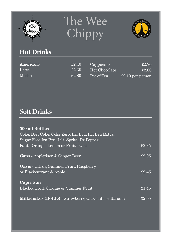

## The Wee Chippy



## **Hot Drinks**

| Americano | £2.40      | Cappucino     | £2.70            |
|-----------|------------|---------------|------------------|
| Latte     | $\pm 2.65$ | Hot Chocolate | £2.80            |
| Mocha     | £2.80      | Pot of Tea    | £2.10 per person |

#### **Soft Drinks**

| 500 ml Bottles<br>Coke, Diet Coke, Coke Zero, Irn Bru, Irn Bru Extra,<br>Sugar Free Irn Bru, Lilt, Sprite, Dr Pepper, |       |
|-----------------------------------------------------------------------------------------------------------------------|-------|
| Fanta Orange, Lemon or Fruit Twist                                                                                    | £2.35 |
| <b>Cans</b> - Appletiser & Ginger Beer                                                                                | £2.05 |
| Oasis - Citrus, Summer Fruit, Raspberry<br>or Blackcurrant & Apple                                                    | f2.45 |
| <b>Capri Sun</b><br>Blackcurrant, Orange or Summer Fruit                                                              | £1.45 |
| Milkshakes (Bottle) - Strawberry, Chocolate or Banana                                                                 | £2.05 |